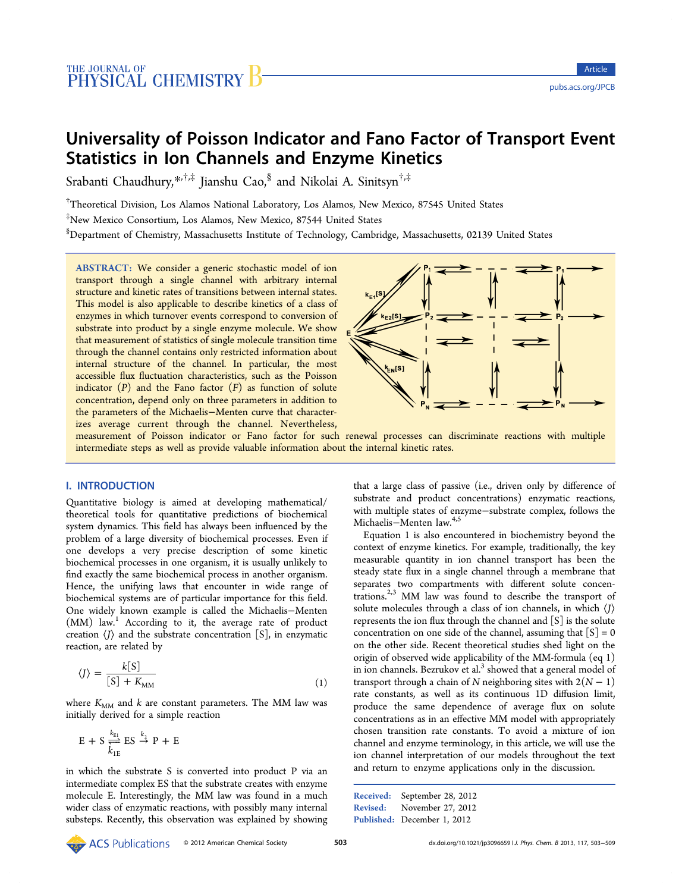<span id="page-0-0"></span>Srabanti Chaudhury, $*^{j, \ddagger, \ddagger}$  Jianshu Cao, and Nikolai A. Sinitsyn<sup>†, $\ddagger$ </sup>

† Theoretical Division, Los Alamos National Laboratory, Los Alamos, New Mexico, 87545 United States

‡ New Mexico Consortium, Los Alamos, New Mexico, 87544 United States

§ Department of Chemistry, Massachusetts Institute of Technology, Cambridge, Massachusetts, 02139 United States

ABSTRACT: We consider a generic stochastic model of ion transport through a single channel with arbitrary internal structure and kinetic rates of transitions between internal states. This model is also applicable to describe kinetics of a class of enzymes in which turnover events correspond to conversion of substrate into product by a single enzyme molecule. We show that measurement of statistics of single molecule transition time through the channel contains only restricted information about internal structure of the channel. In particular, the most accessible flux fluctuation characteristics, such as the Poisson indicator  $(P)$  and the Fano factor  $(F)$  as function of solute concentration, depend only on three parameters in addition to the parameters of the Michaelis−Menten curve that characterizes average current through the channel. Nevertheless,



measurement of Poisson indicator or Fano factor for such renewal processes can discriminate reactions with multiple intermediate steps as well as provide valuable information about the internal kinetic rates.

### I. INTRODUCTION

Quantitative biology is aimed at developing mathematical/ theoretical tools for quantitative predictions of biochemical system dynamics. This field has always been influenced by the problem of a large diversity of biochemical processes. Even if one develops a very precise description of some kinetic biochemical processes in one organism, it is usually unlikely to find exactly the same biochemical process in another organism. Hence, the unifying laws that encounter in wide range of biochemical systems are of particular importance for this field. One widely known example is called the Michaelis−Menten (MM) law.<sup>1</sup> According to it, the average rate of product creation  $\langle J \rangle$  and the substrate concentration [S], in enzymatic reaction, ar[e](#page-6-0) related by

$$
\langle J \rangle = \frac{k[S]}{[S] + K_{\text{MM}}} \tag{1}
$$

where  $K_{\text{MM}}$  and  $k$  are constant parameters. The MM law was initially derived for a simple reaction

$$
E + S \underset{k_{1E}}{\overset{k_{E1}}{\Longrightarrow}} ES \overset{k_2}{\rightarrow} P + E
$$

in which the substrate S is converted into product P via an intermediate complex ES that the substrate creates with enzyme molecule E. Interestingly, the MM law was found in a much wider class of enzymatic reactions, with possibly many internal substeps. Recently, this observation was explained by showing that a large class of passive (i.e., driven only by difference of substrate and product concentrations) enzymatic reactions, with multiple states of enzyme−substrate complex, follows the Michaelis−Menten law.4,5

Equation 1 is also encountered in biochemistry beyond the context of enzyme kine[tic](#page-6-0)s. For example, traditionally, the key measurable quantity in ion channel transport has been the steady state flux in a single channel through a membrane that separates two compartments with different solute concentrations.2,3 MM law was found to describe the transport of solute molecules through a class of ion channels, in which  $\langle J \rangle$ represe[nts](#page-6-0) the ion flux through the channel and [S] is the solute concentration on one side of the channel, assuming that  $[S] = 0$ on the other side. Recent theoretical studies shed light on the origin of observed wide applicability of the MM-formula (eq 1) in ion channels. Bezrukov et al. $3$  showed that a general model of transport through a chain of N neighboring sites with  $2(N - 1)$ rate constants, as well as its [c](#page-6-0)ontinuous 1D diffusion limit, produce the same dependence of average flux on solute concentrations as in an effective MM model with appropriately chosen transition rate constants. To avoid a mixture of ion channel and enzyme terminology, in this article, we will use the ion channel interpretation of our models throughout the text and return to enzyme applications only in the discussion.

Received: September 28, 2012 Revised: November 27, 2012 Published: December 1, 2012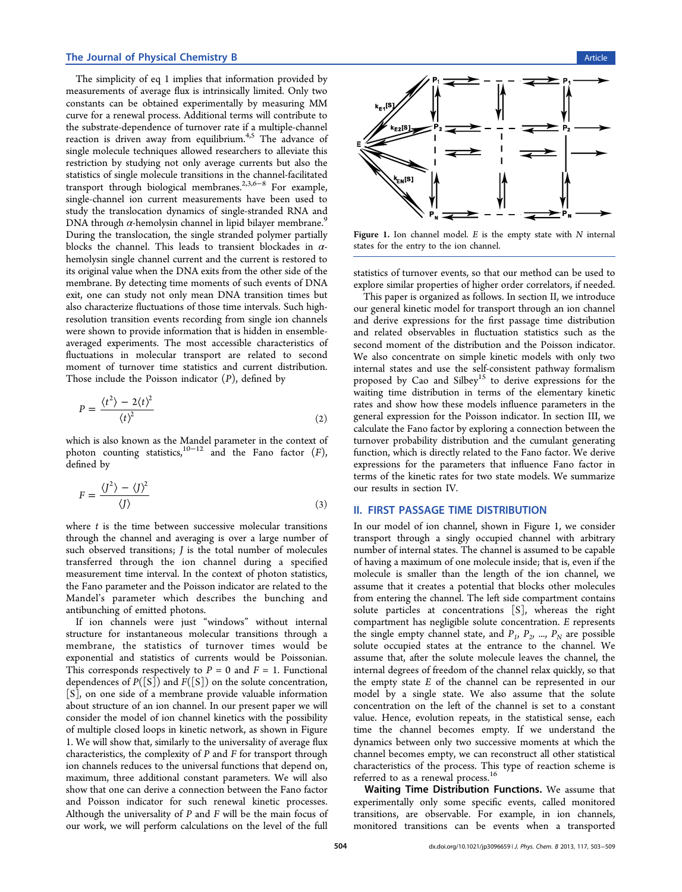The simplicity of eq 1 implies that information provided by measurements of average flux is intrinsically limited. Only two constants can be obtai[ne](#page-0-0)d experimentally by measuring MM curve for a renewal process. Additional terms will contribute to the substrate-dependence of turnover rate if a multiple-channel reaction is driven away from equilibrium.<sup>4,5</sup> The advance of single molecule techniques allowed researchers to alleviate this restriction by studying not only average c[urr](#page-6-0)ents but also the statistics of single molecule transitions in the channel-facilitated transport through biological membranes.2,3,6−<sup>8</sup> For example, single-channel ion current measurements have been used to study the translocation dynamics of singl[e-stran](#page-6-0)ded RNA and DNA through  $\alpha$ -hemolysin channel in lipid bilayer membrane.<sup>5</sup> During the translocation, the single stranded polymer partially blocks the channel. This leads to transient blockades in  $\alpha$ hemolysin single channel current and the current is restored to its original value when the DNA exits from the other side of the membrane. By detecting time moments of such events of DNA exit, one can study not only mean DNA transition times but also characterize fluctuations of those time intervals. Such highresolution transition events recording from single ion channels were shown to provide information that is hidden in ensembleaveraged experiments. The most accessible characteristics of fluctuations in molecular transport are related to second moment of turnover time statistics and current distribution. Those include the Poisson indicator  $(P)$ , defined by

$$
P = \frac{\langle t^2 \rangle - 2 \langle t \rangle^2}{\langle t \rangle^2} \tag{2}
$$

which is also known as the Mandel parameter in the context of photon counting statistics,<sup>10−12</sup> and the Fano factor  $(F)$ , defined by

$$
F = \frac{\langle J^2 \rangle - \langle J \rangle^2}{\langle J \rangle} \tag{3}
$$

where  $t$  is the time between successive molecular transitions through the channel and averaging is over a large number of such observed transitions; J is the total number of molecules transferred through the ion channel during a specified measurement time interval. In the context of photon statistics, the Fano parameter and the Poisson indicator are related to the Mandel's parameter which describes the bunching and antibunching of emitted photons.

If ion channels were just "windows" without internal structure for instantaneous molecular transitions through a membrane, the statistics of turnover times would be exponential and statistics of currents would be Poissonian. This corresponds respectively to  $P = 0$  and  $F = 1$ . Functional dependences of  $P([S])$  and  $F([S])$  on the solute concentration, [S], on one side of a membrane provide valuable information about structure of an ion channel. In our present paper we will consider the model of ion channel kinetics with the possibility of multiple closed loops in kinetic network, as shown in Figure 1. We will show that, similarly to the universality of average flux characteristics, the complexity of  $P$  and  $F$  for transport through ion channels reduces to the universal functions that depend on, maximum, three additional constant parameters. We will also show that one can derive a connection between the Fano factor and Poisson indicator for such renewal kinetic processes. Although the universality of  $P$  and  $F$  will be the main focus of our work, we will perform calculations on the level of the full



Figure 1. Ion channel model.  $E$  is the empty state with  $N$  internal states for the entry to the ion channel.

statistics of turnover events, so that our method can be used to explore similar properties of higher order correlators, if needed.

This paper is organized as follows. In section II, we introduce our general kinetic model for transport through an ion channel and derive expressions for the first passage time distribution and related observables in fluctuation statistics such as the second moment of the distribution and the Poisson indicator. We also concentrate on simple kinetic models with only two internal states and use the self-consistent pathway formalism proposed by Cao and Silbey<sup>15</sup> to derive expressions for the waiting time distribution in terms of the elementary kinetic rates and show how these m[ode](#page-6-0)ls influence parameters in the general expression for the Poisson indicator. In section III, we calculate the Fano factor by exploring a connection between the turnover probability distribution and the cumu[lant genera](#page-4-0)ting function, which is directly related to the Fano factor. We derive expressions for the parameters that influence Fano factor in terms of the kinetic rates for two state models. We summarize our results in section IV.

## II. FIRST PA[SSAGE TI](#page-5-0)ME DISTRIBUTION

In our model of ion channel, shown in Figure 1, we consider transport through a singly occupied channel with arbitrary number of internal states. The channel is assumed to be capable of having a maximum of one molecule inside; that is, even if the molecule is smaller than the length of the ion channel, we assume that it creates a potential that blocks other molecules from entering the channel. The left side compartment contains solute particles at concentrations [S], whereas the right compartment has negligible solute concentration. E represents the single empty channel state, and  $P_1$ ,  $P_2$ , ...,  $P_N$  are possible solute occupied states at the entrance to the channel. We assume that, after the solute molecule leaves the channel, the internal degrees of freedom of the channel relax quickly, so that the empty state E of the channel can be represented in our model by a single state. We also assume that the solute concentration on the left of the channel is set to a constant value. Hence, evolution repeats, in the statistical sense, each time the channel becomes empty. If we understand the dynamics between only two successive moments at which the channel becomes empty, we can reconstruct all other statistical characteristics of the process. This type of reaction scheme is referred to as a renewal process.<sup>16</sup>

Waiting Time Distribution Functions. We assume that experimentally only some speci[fi](#page-6-0)c events, called monitored transitions, are observable. For example, in ion channels, monitored transitions can be events when a transported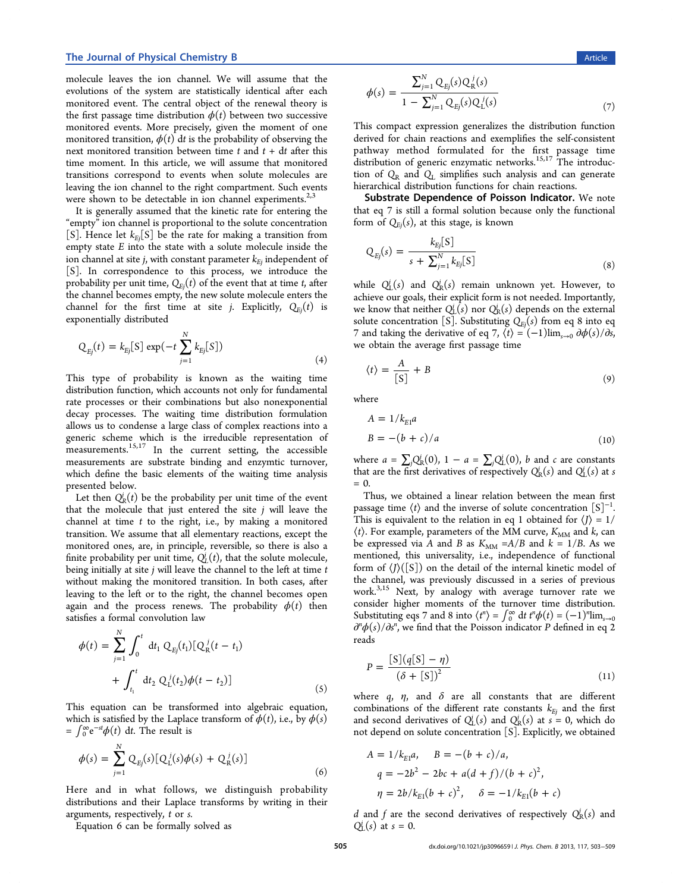<span id="page-2-0"></span>molecule leaves the ion channel. We will assume that the evolutions of the system are statistically identical after each monitored event. The central object of the renewal theory is the first passage time distribution  $\phi(t)$  between two successive monitored events. More precisely, given the moment of one monitored transition,  $\phi(t)$  dt is the probability of observing the next monitored transition between time  $t$  and  $t + dt$  after this time moment. In this article, we will assume that monitored transitions correspond to events when solute molecules are leaving the ion channel to the right compartment. Such events were shown to be detectable in ion channel experiments.<sup>2,3</sup>

It is generally assumed that the kinetic rate for entering the "empty" ion channel is proportional to the solute concent[rati](#page-6-0)on [S]. Hence let  $k_{E_i}[S]$  be the rate for making a transition from empty state  $E$  into the state with a solute molecule inside the ion channel at site j, with constant parameter  $k_{E_i}$  independent of [S]. In correspondence to this process, we introduce the probability per unit time,  $Q_{E_i}(t)$  of the event that at time t, after the channel becomes empty, the new solute molecule enters the channel for the first time at site *j*. Explicitly,  $Q_{E_i}(t)$  is exponentially distributed

$$
Q_{Ej}(t) = k_{Ej}[S] \exp(-t \sum_{j=1}^{N} k_{Ej}[S])
$$
\n(4)

This type of probability is known as the waiting time distribution function, which accounts not only for fundamental rate processes or their combinations but also nonexponential decay processes. The waiting time distribution formulation allows us to condense a large class of complex reactions into a generic scheme which is the irreducible representation of measurements.<sup>15,17</sup> In the current setting, the accessible measurements are substrate binding and enzymtic turnover, which define t[he b](#page-6-0)asic elements of the waiting time analysis presented below.

Let then  $Q_{\rm R}^j(t)$  be the probability per unit time of the event that the molecule that just entered the site  $j$  will leave the channel at time  $t$  to the right, i.e., by making a monitored transition. We assume that all elementary reactions, except the monitored ones, are, in principle, reversible, so there is also a finite probability per unit time,  $Q_L^j(t)$ , that the solute molecule, being initially at site  $j$  will leave the channel to the left at time  $t$ without making the monitored transition. In both cases, after leaving to the left or to the right, the channel becomes open again and the process renews. The probability  $\phi(t)$  then satisfies a formal convolution law

$$
\phi(t) = \sum_{j=1}^{N} \int_{0}^{t} dt_1 Q_{Ej}(t_1) [Q_{R}^{j}(t - t_1)
$$
  
+ 
$$
\int_{t_1}^{t} dt_2 Q_{L}^{j}(t_2) \phi(t - t_2)]
$$
 (5)

This equation can be transformed into algebraic equation, which is satisfied by the Laplace transform of  $\phi(t)$ , i.e., by  $\phi(s)$  $=\int_0^\infty e^{-st}\phi(t) dt$ . The result is

$$
\phi(s) = \sum_{j=1}^{N} Q_{Ej}(s) [Q_{L}^{j}(s)\phi(s) + Q_{R}^{j}(s)] \tag{6}
$$

Here and in what follows, we distinguish probability distributions and their Laplace transforms by writing in their arguments, respectively, t or s.

Equation 6 can be formally solved as

*N*

$$
\phi(s) = \frac{\sum_{j=1}^{N} Q_{Ej}(s) Q_{R}^{j}(s)}{1 - \sum_{j=1}^{N} Q_{Ej}(s) Q_{L}^{j}(s)}
$$
(7)

*j*

*N*

This compact expression generalizes the distribution function derived for chain reactions and exemplifies the self-consistent pathway method formulated for the first passage time distribution of generic enzymatic networks.<sup>15,17</sup> The introduction of  $Q_R$  and  $Q_L$  simplifies such analysis and can generate hierarchical distribution functions for chain [reac](#page-6-0)tions.

Substrate Dependence of Poisson Indicator. We note that eq 7 is still a formal solution because only the functional form of  $Q_{E_i}(s)$ , at this stage, is known

$$
Q_{Ej}(s) = \frac{k_{Ej}[S]}{s + \sum_{j=1}^{N} k_{Ej}[S]}
$$
(8)

while  $Q_{\text{L}}^{j}(s)$  and  $Q_{\text{R}}^{j}(s)$  remain unknown yet. However, to achieve our goals, their explicit form is not needed. Importantly, we know that neither  $Q_L^i(s)$  nor  $Q_R^j(s)$  depends on the external solute concentration [S]. Substituting  $Q_{Ej}(s)$  from eq 8 into eq 7 and taking the derivative of eq 7,  $\langle t \rangle = (-1)$ lim<sub>s→0</sub>  $\partial \phi(s)/\partial s$ , we obtain the average first passage time

$$
\langle t \rangle = \frac{A}{[S]} + B \tag{9}
$$

where

$$
A = 1/k_{E1}a
$$
  

$$
B = -(b + c)/a
$$
 (10)

where  $a = \sum_j Q_{\rm R}^j(0)$ ,  $1 - a = \sum_j Q_{\rm L}^j(0)$ , b and c are constants that are the first derivatives of respectively  $Q_R^j(s)$  and  $Q_L^j(s)$  at s  $= 0.$ 

Thus, we obtained a linear relation between the mean first passage time  $\langle t \rangle$  and the inverse of solute concentration  $[S]^{-1}$ . . This is equivalent to the relation in eq 1 obtained for  $\langle J \rangle = 1/2$  $\langle t \rangle$ . For example, parameters of the MM curve,  $K_{\text{MM}}$  and  $k$ , can be expressed via A and B as  $K_{MM} = A/B$  and  $k = 1/B$ . As we mentioned, this universality, i.e., inde[pe](#page-0-0)ndence of functional form of  $\langle J \rangle ($ [S]) on the detail of the internal kinetic model of the channel, was previously discussed in a series of previous work.<sup>3,15</sup> Next, by analogy with average turnover rate we consider higher moments of the turnover time distribution. Subs[titut](#page-6-0)ing eqs 7 and 8 into  $\langle t^n \rangle = \int_0^\infty dt \ t^n \phi(t) = (-1)^n \lim_{s \to 0}$  $\frac{\partial^n \phi(s)}{\partial s^n}$ , we find that the Poisson indicator P defined in eq 2 reads

$$
P = \frac{[S](q[S] - \eta)}{(\delta + [S])^2}
$$
\n(11)

where q,  $\eta$ , and  $\delta$  are all constants that are different combinations of the different rate constants  $k_{E_i}$  and the first and second derivatives of  $Q_{\text{L}}^{j}(s)$  and  $Q_{\text{R}}^{j}(s)$  at  $s = 0$ , which do not depend on solute concentration [S]. Explicitly, we obtained

$$
A = 1/k_{El}a, \quad B = -(b + c)/a,
$$
  
\n
$$
q = -2b^2 - 2bc + a(d + f)/(b + c)^2,
$$
  
\n
$$
\eta = 2b/k_{El}(b + c)^2, \quad \delta = -1/k_{El}(b + c)
$$

d and f are the second derivatives of respectively  $Q_{\rm R}^j(s)$  and  $Q_{\text{L}}^{j}(s)$  at  $s = 0$ .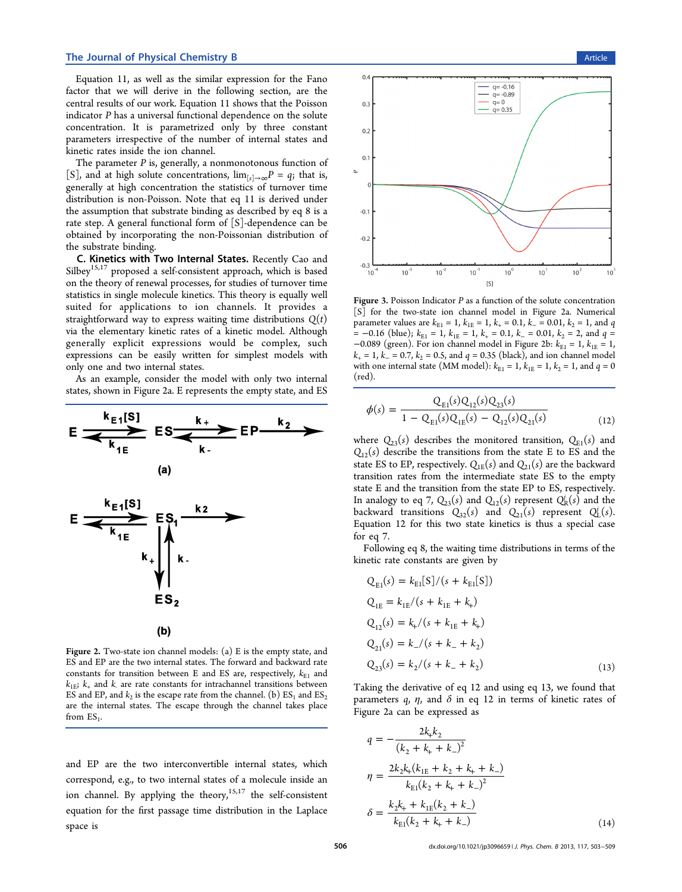<span id="page-3-0"></span>Equation 11, as well as the similar expression for the Fano factor that we will derive in the following section, are the central resul[ts o](#page-2-0)f our work. Equation 11 shows that the Poisson indicator P has a universal functional dependence on the solute concentration. It is parametrized [on](#page-2-0)ly by three constant parameters irrespective of the number of internal states and kinetic rates inside the ion channel.

The parameter  $P$  is, generally, a nonmonotonous function of [S], and at high solute concentrations,  $\lim_{\{s\} \to \infty} P = q$ ; that is, generally at high concentration the statistics of turnover time distribution is non-Poisson. Note that eq 11 is derived under the assumption that substrate binding as described by eq 8 is a rate step. A general functional form of [S][-de](#page-2-0)pendence can be obtained by incorporating the non-Poissonian distributi[on](#page-2-0) of the substrate binding.

C. Kinetics with Two Internal States. Recently Cao and  $\text{Silbey}^{15,17}$  proposed a self-consistent approach, which is based on the theory of renewal processes, for studies of turnover time statist[ics in](#page-6-0) single molecule kinetics. This theory is equally well suited for applications to ion channels. It provides a straightforward way to express waiting time distributions  $Q(t)$ via the elementary kinetic rates of a kinetic model. Although generally explicit expressions would be complex, such expressions can be easily written for simplest models with only one and two internal states.

As an example, consider the model with only two internal states, shown in Figure 2a. E represents the empty state, and ES



Figure 2. Two-state ion channel models: (a) E is the empty state, and ES and EP are the two internal states. The forward and backward rate constants for transition between E and ES are, respectively,  $k_{E1}$  and  $k_{1E}$ ;  $k_{+}$  and k are rate constants for intrachannel transitions between ES and EP, and  $k_2$  is the escape rate from the channel. (b) ES<sub>1</sub> and ES<sub>2</sub> are the internal states. The escape through the channel takes place from  $ES_1$ .

and EP are the two interconvertible internal states, which correspond, e.g., to two internal states of a molecule inside an ion channel. By applying the theory,<sup>15,17</sup> the self-consistent equation for the first passage time dis[tribu](#page-6-0)tion in the Laplace space is



Figure 3. Poisson Indicator P as a function of the solute concentration [S] for the two-state ion channel model in Figure 2a. Numerical parameter values are  $k_{E1} = 1$ ,  $k_{1E} = 1$ ,  $k_{+} = 0.1$ ,  $k_{-} = 0.01$ ,  $k_{2} = 1$ , and q  $= -0.16$  (blue);  $k_{E1} = 1$ ,  $k_{1E} = 1$ ,  $k_{+} = 0.1$ ,  $k_{-} = 0.01$ ,  $k_{2} = 2$ , and  $q = 0.1$ −0.089 (green). For ion channel model in Figure 2b:  $k_{E1} = 1$ ,  $k_{1E} = 1$ ,  $k_{+} = 1$ ,  $k_{-} = 0.7$ ,  $k_{2} = 0.5$ , and  $q = 0.35$  (black), and ion channel model with one internal state (MM model):  $k_{E1} = 1$ ,  $k_{1E} = 1$ ,  $k_2 = 1$ , and  $q = 0$ (red).

$$
\phi(s) = \frac{Q_{E1}(s)Q_{12}(s)Q_{23}(s)}{1 - Q_{E1}(s)Q_{1E}(s) - Q_{12}(s)Q_{21}(s)}
$$
(12)

where  $Q_{23}(s)$  describes the monitored transition,  $Q_{E1}(s)$  and  $Q_{12}(s)$  describe the transitions from the state E to ES and the state ES to EP, respectively.  $Q_{1E}(s)$  and  $Q_{21}(s)$  are the backward transition rates from the intermediate state ES to the empty state E and the transition from the state EP to ES, respectively. In analogy to eq 7,  $Q_{23}(s)$  and  $Q_{12}(s)$  represent  $\overline{Q_\text{R}^j(s)}$  and the backward transitions  $Q_{32}(s)$  and  $Q_{21}(s)$  represent  $Q_{\text{L}}(s)$ . Equation 12 for [th](#page-2-0)is two state kinetics is thus a special case for eq 7.

Following eq 8, the waiting time distributions in terms of the kinetic [r](#page-2-0)ate constants are given by

$$
Q_{\rm EI}(s) = k_{\rm EI}[S]/(s + k_{\rm EI}[S])
$$
  
\n
$$
Q_{\rm IE} = k_{\rm IE}/(s + k_{\rm IE} + k_{+})
$$
  
\n
$$
Q_{12}(s) = k_{+}/(s + k_{\rm IE} + k_{+})
$$
  
\n
$$
Q_{21}(s) = k_{-}/(s + k_{-} + k_{2})
$$
  
\n
$$
Q_{23}(s) = k_{2}/(s + k_{-} + k_{2})
$$
\n(13)

Taking the derivative of eq 12 and using eq 13, we found that parameters q,  $\eta$ , and  $\delta$  in eq 12 in terms of kinetic rates of Figure 2a can be expressed as

$$
q = -\frac{2k_{+}k_{2}}{(k_{2} + k_{+} + k_{-})^{2}}
$$

$$
\eta = \frac{2k_{2}k_{+}(k_{1E} + k_{2} + k_{+} + k_{-})}{k_{E1}(k_{2} + k_{+} + k_{-})^{2}}
$$

$$
\delta = \frac{k_{2}k_{+} + k_{1E}(k_{2} + k_{-})}{k_{E1}(k_{2} + k_{+} + k_{-})}
$$
(14)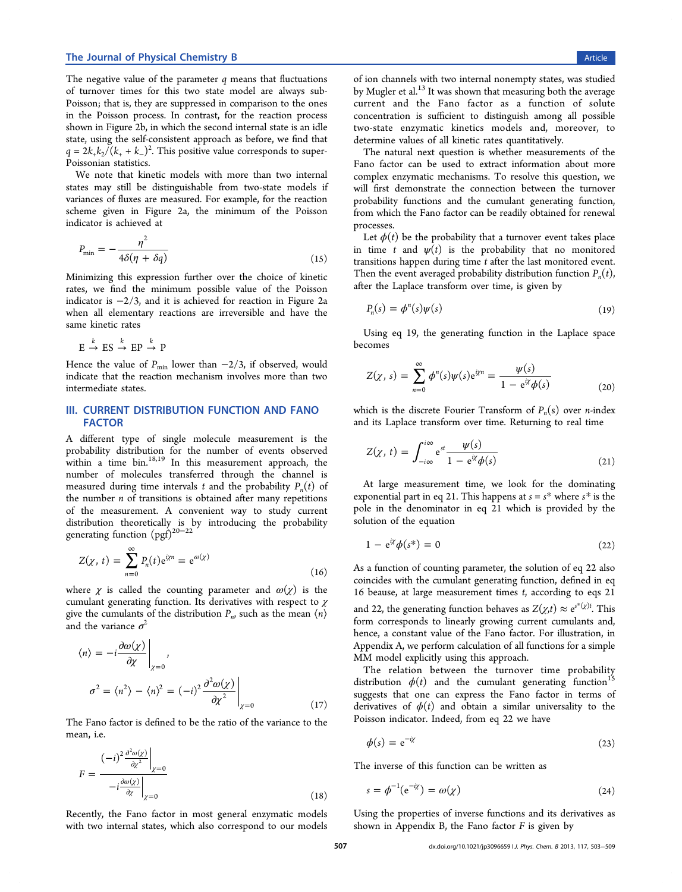<span id="page-4-0"></span>The negative value of the parameter  $q$  means that fluctuations of turnover times for this two state model are always sub-Poisson; that is, they are suppressed in comparison to the ones in the Poisson process. In contrast, for the reaction process shown in Figure 2b, in which the second internal state is an idle state, using the self-consistent approach as before, we find that  $q = 2k_+k_2/(k_+ + k_-)^2$ . This positive value corresponds to super-Poissonian statis[tic](#page-3-0)s.

We note that kinetic models with more than two internal states may still be distinguishable from two-state models if variances of fluxes are measured. For example, for the reaction scheme given in Figure 2a, the minimum of the Poisson indicator is achieved at

$$
P_{\min} = -\frac{\eta^2}{4\delta(\eta + \delta q)}\tag{15}
$$

Minimizing this expression further over the choice of kinetic rates, we find the minimum possible value of the Poisson indicator is −2/3, and it is achieved for reaction in Figure 2a when all elementary reactions are irreversible and have the same kinetic rates

$$
E \xrightarrow{k} ES \xrightarrow{k} EP \xrightarrow{k} P
$$

Hence the value of  $P_{\text{min}}$  lower than  $-2/3$ , if observed, would indicate that the reaction mechanism involves more than two intermediate states.

### III. CURRENT DISTRIBUTION FUNCTION AND FANO FACTOR

A different type of single molecule measurement is the probability distribution for the number of events observed within a time bin.<sup>18,19</sup> In this measurement approach, the number of molecules transferred through the channel is measured during ti[me i](#page-6-0)ntervals t and the probability  $P_n(t)$  of the number  $n$  of transitions is obtained after many repetitions of the measurement. A convenient way to study current distribution theoretically is by introducing the probability generating function  $(pgf)^{20-22}$ 

$$
Z(\chi, t) = \sum_{n=0}^{\infty} P_n(t) e^{i\chi n} = e^{\omega(\chi)}
$$
\n(16)

where  $\chi$  is called the counting parameter and  $\omega(\chi)$  is the cumulant generating function. Its derivatives with respect to  $\chi$ give the cumulants of the distribution  $P_n$ , such as the mean  $\langle n \rangle$ and the variance  $\sigma^2$ 

$$
\langle n \rangle = -i \frac{\partial \omega(\chi)}{\partial \chi} \Big|_{\chi=0},
$$
  

$$
\sigma^2 = \langle n^2 \rangle - \langle n \rangle^2 = (-i)^2 \frac{\partial^2 \omega(\chi)}{\partial \chi^2} \Big|_{\chi=0}
$$
 (17)

The Fano factor is defined to be the ratio of the variance to the mean, i.e.

$$
F = \frac{(-i)^2 \frac{\partial^2 \omega(\chi)}{\partial \chi^2}\Big|_{\chi=0}}{-i \frac{\partial \omega(\chi)}{\partial \chi}\Big|_{\chi=0}} \tag{18}
$$

Recently, the Fano factor in most general enzymatic models with two internal states, which also correspond to our models of ion channels with two internal nonempty states, was studied by Mugler et al.<sup>13</sup> It was shown that measuring both the average current and the Fano factor as a function of solute concentration [is](#page-6-0) sufficient to distinguish among all possible two-state enzymatic kinetics models and, moreover, to determine values of all kinetic rates quantitatively.

The natural next question is whether measurements of the Fano factor can be used to extract information about more complex enzymatic mechanisms. To resolve this question, we will first demonstrate the connection between the turnover probability functions and the cumulant generating function, from which the Fano factor can be readily obtained for renewal processes.

Let  $\phi(t)$  be the probability that a turnover event takes place in time t and  $\psi(t)$  is the probability that no monitored transitions happen during time t after the last monitored event. Then the event averaged probability distribution function  $P_n(t)$ , after the Laplace transform over time, is given by

$$
P_n(s) = \phi^n(s)\psi(s) \tag{19}
$$

Using eq 19, the generating function in the Laplace space becomes

$$
Z(\chi, s) = \sum_{n=0}^{\infty} \phi^n(s)\psi(s)e^{i\chi n} = \frac{\psi(s)}{1 - e^{i\chi}\phi(s)}
$$
(20)

which is the discrete Fourier Transform of  $P_n(s)$  over *n*-index and its Laplace transform over time. Returning to real time

$$
Z(\chi, t) = \int_{-i\infty}^{i\infty} e^{st} \frac{\psi(s)}{1 - e^{i\chi}\phi(s)}
$$
(21)

At large measurement time, we look for the dominating exponential part in eq 21. This happens at  $s = s^*$  where  $s^*$  is the pole in the denominator in eq 21 which is provided by the solution of the equation

$$
1 - e^{i\chi} \phi(s^*) = 0 \tag{22}
$$

As a function of counting parameter, the solution of eq 22 also coincides with the cumulant generating function, defined in eq 16 beause, at large measurement times t, according to eqs 21 and 22, the generating function behaves as  $Z(\chi,t)\approx \mathrm{e}^{\mathrm{i} s^*(\chi)t}.$  This form corresponds to linearly growing current cumulants and, hence, a constant value of the Fano factor. For illustration, in Appendix A, we perform calculation of all functions for a simple MM model explicitly using this approach.

[The rela](#page-5-0)tion between the turnover time probability distribution  $\phi(t)$  and the cumulant generating function<sup>15</sup> suggests that one can express the Fano factor in terms of derivatives of  $\phi(t)$  and obtain a similar universality to t[he](#page-6-0) Poisson indicator. Indeed, from eq 22 we have

$$
\phi(s) = e^{-iy} \tag{23}
$$

The inverse of this function can be written as

$$
s = \phi^{-1}(e^{-i\chi}) = \omega(\chi) \tag{24}
$$

Using the properties of inverse functions and its derivatives as shown in Appendix B, the Fano factor  $F$  is given by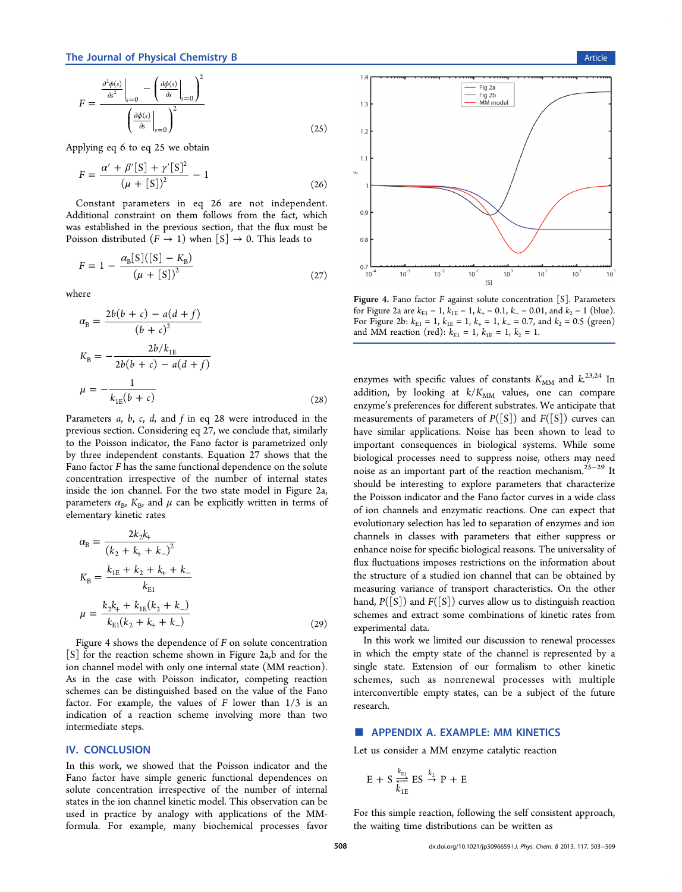<span id="page-5-0"></span>
$$
F = \frac{\frac{\partial^2 \phi(s)}{\partial s^2}\Big|_{s=0} - \left(\frac{\partial \phi(s)}{\partial s}\Big|_{s=0}\right)^2}{\left(\frac{\partial \phi(s)}{\partial s}\Big|_{s=0}\right)^2}
$$
(25)

Applying eq 6 to eq 25 we obtain

$$
F = \frac{\alpha' + \beta'[S] + \gamma'[S]^2}{(\mu + [S])^2} - 1
$$
\n(26)

Constant parameters in eq 26 are not independent. Additional constraint on them follows from the fact, which was established in the previous section, that the flux must be Poisson distributed  $(F \rightarrow 1)$  when  $[S] \rightarrow 0$ . This leads to

$$
F = 1 - \frac{\alpha_{\rm B}[S]([S] - K_{\rm B})}{(\mu + [S])^2} \tag{27}
$$

where

$$
\alpha_{\rm B} = \frac{2b(b+c) - a(d+f)}{(b+c)^2}
$$
  
\n
$$
K_{\rm B} = -\frac{2b/k_{\rm 1E}}{2b(b+c) - a(d+f)}
$$
  
\n
$$
\mu = -\frac{1}{k_{\rm 1E}(b+c)}
$$
\n(28)

Parameters  $a$ ,  $b$ ,  $c$ ,  $d$ , and  $f$  in eq 28 were introduced in the previous section. Considering eq 27, we conclude that, similarly to the Poisson indicator, the Fano factor is parametrized only by three independent constants. Equation 27 shows that the Fano factor F has the same functional dependence on the solute concentration irrespective of the number of internal states inside the ion channel. For the two state model in Figure 2a, parameters  $\alpha_{\rm B}$ ,  $K_{\rm B}$ , and  $\mu$  can be explicitly written in terms of elementary kinetic rates

$$
\alpha_{\rm B} = \frac{2k_2k_+}{(k_2 + k_+ + k_-)^2}
$$
  
\n
$$
K_{\rm B} = \frac{k_{\rm IE} + k_2 + k_+ + k_-}{k_{\rm E1}}
$$
  
\n
$$
\mu = \frac{k_2k_+ + k_{\rm IE}(k_2 + k_-)}{k_{\rm EI}(k_2 + k_+ + k_-)}
$$
(29)

Figure 4 shows the dependence of F on solute concentration [S] for the reaction scheme shown in Figure 2a,b and for the ion channel model with only one internal state (MM reaction). As in the case with Poisson indicator, co[mp](#page-3-0)eting reaction schemes can be distinguished based on the value of the Fano factor. For example, the values of  $F$  lower than  $1/3$  is an indication of a reaction scheme involving more than two intermediate steps.

#### IV. CONCLUSION

In this work, we showed that the Poisson indicator and the Fano factor have simple generic functional dependences on solute concentration irrespective of the number of internal states in the ion channel kinetic model. This observation can be used in practice by analogy with applications of the MMformula. For example, many biochemical processes favor



Figure 4. Fano factor  $F$  against solute concentration [S]. Parameters for Figure 2a are  $k_{E1} = 1$ ,  $k_{1E} = 1$ ,  $k_{+} = 0.1$ ,  $k_{-} = 0.01$ , and  $k_{2} = 1$  (blue). For Figure 2b:  $k_{E1} = 1$ ,  $k_{1E} = 1$ ,  $k_{+} = 1$ ,  $k_{-} = 0.7$ , and  $k_{2} = 0.5$  (green) and MM [rea](#page-3-0)ction (red):  $k_{E1} = 1$ ,  $k_{1E} = 1$ ,  $k_2 = 1$ .

enzymes with specific values of constants  $K_{\text{MM}}$  and  $k$ <sup>23,24</sup> In addition, by looking at  $k/K_{\text{MM}}$  values, one can compare enzyme's preferences for different substrates. We anticip[ate t](#page-6-0)hat measurements of parameters of  $P([S])$  and  $F([S])$  curves can have similar applications. Noise has been shown to lead to important consequences in biological systems. While some biological processes need to suppress noise, others may need noise as an important part of the reaction mechanism.25−<sup>29</sup> It should be interesting to explore parameters that characterize the Poisson indicator and the Fano factor curves in a wi[de cla](#page-6-0)ss of ion channels and enzymatic reactions. One can expect that evolutionary selection has led to separation of enzymes and ion channels in classes with parameters that either suppress or enhance noise for specific biological reasons. The universality of flux fluctuations imposes restrictions on the information about the structure of a studied ion channel that can be obtained by measuring variance of transport characteristics. On the other hand,  $P([S])$  and  $F([S])$  curves allow us to distinguish reaction schemes and extract some combinations of kinetic rates from experimental data.

In this work we limited our discussion to renewal processes in which the empty state of the channel is represented by a single state. Extension of our formalism to other kinetic schemes, such as nonrenewal processes with multiple interconvertible empty states, can be a subject of the future research.

### ■ APPENDIX A. EXAMPLE: MM KINETICS

Let us consider a MM enzyme catalytic reaction

$$
E + S \overset{k_{E1}}{\underset{k_{1E}}{\rightleftharpoons}} ES \overset{k_2}{\rightarrow} P + E
$$

For this simple reaction, following the self consistent approach, the waiting time distributions can be written as